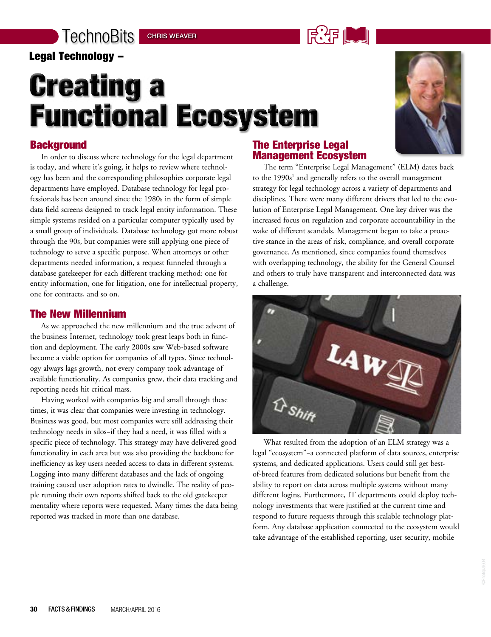### Legal Technology –

## **Creating a Functional Ecosystem**



In order to discuss where technology for the legal department is today, and where it's going, it helps to review where technology has been and the corresponding philosophies corporate legal departments have employed. Database technology for legal professionals has been around since the 1980s in the form of simple data field screens designed to track legal entity information. These simple systems resided on a particular computer typically used by a small group of individuals. Database technology got more robust through the 90s, but companies were still applying one piece of technology to serve a specific purpose. When attorneys or other departments needed information, a request funneled through a database gatekeeper for each different tracking method: one for entity information, one for litigation, one for intellectual property, one for contracts, and so on.

### The New Millennium

As we approached the new millennium and the true advent of the business Internet, technology took great leaps both in function and deployment. The early 2000s saw Web-based software become a viable option for companies of all types. Since technology always lags growth, not every company took advantage of available functionality. As companies grew, their data tracking and reporting needs hit critical mass.

Having worked with companies big and small through these times, it was clear that companies were investing in technology. Business was good, but most companies were still addressing their technology needs in silos−if they had a need, it was filled with a specific piece of technology. This strategy may have delivered good functionality in each area but was also providing the backbone for inefficiency as key users needed access to data in different systems. Logging into many different databases and the lack of ongoing training caused user adoption rates to dwindle. The reality of people running their own reports shifted back to the old gatekeeper mentality where reports were requested. Many times the data being reported was tracked in more than one database.

#### The Enterprise Legal Management Ecosystem

当:佔 ‖

The term "Enterprise Legal Management" (ELM) dates back to the  $1990s<sup>1</sup>$  and generally refers to the overall management strategy for legal technology across a variety of departments and disciplines. There were many different drivers that led to the evolution of Enterprise Legal Management. One key driver was the increased focus on regulation and corporate accountability in the wake of different scandals. Management began to take a proactive stance in the areas of risk, compliance, and overall corporate governance. As mentioned, since companies found themselves with overlapping technology, the ability for the General Counsel and others to truly have transparent and interconnected data was a challenge.



What resulted from the adoption of an ELM strategy was a legal "ecosystem"−a connected platform of data sources, enterprise systems, and dedicated applications. Users could still get bestof-breed features from dedicated solutions but benefit from the ability to report on data across multiple systems without many different logins. Furthermore, IT departments could deploy technology investments that were justified at the current time and respond to future requests through this scalable technology platform. Any database application connected to the ecosystem would take advantage of the established reporting, user security, mobile